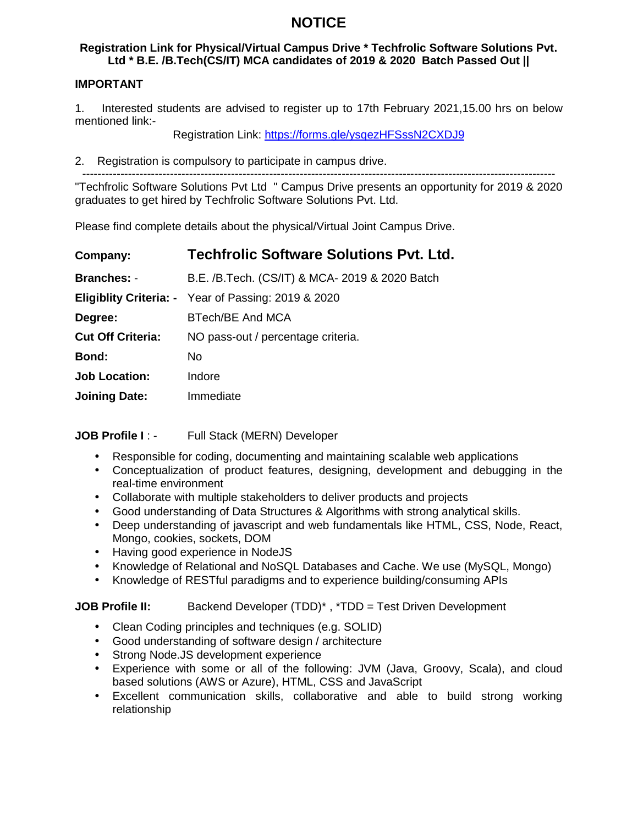# **NOTICE**

## **Registration Link for Physical/Virtual Campus Drive \* Techfrolic Software Solutions Pvt. Ltd \* B.E. /B.Tech(CS/IT) MCA candidates of 2019 & 2020 Batch Passed Out ||**

## **IMPORTANT**

1. Interested students are advised to register up to 17th February 2021,15.00 hrs on below mentioned link:-

Registration Link: https://forms.gle/ysqezHFSssN2CXDJ9

2. Registration is compulsory to participate in campus drive.

----------------------------------------------------------------------------------------------------------------------------

"Techfrolic Software Solutions Pvt Ltd " Campus Drive presents an opportunity for 2019 & 2020 graduates to get hired by Techfrolic Software Solutions Pvt. Ltd.

Please find complete details about the physical/Virtual Joint Campus Drive.

| Company:                 | <b>Techfrolic Software Solutions Pvt. Ltd.</b>             |
|--------------------------|------------------------------------------------------------|
| <b>Branches: -</b>       | B.E. /B.Tech. (CS/IT) & MCA- 2019 & 2020 Batch             |
|                          | <b>Eligiblity Criteria: -</b> Year of Passing: 2019 & 2020 |
| Degree:                  | BTech/BE And MCA                                           |
| <b>Cut Off Criteria:</b> | NO pass-out / percentage criteria.                         |
| Bond:                    | No.                                                        |
| <b>Job Location:</b>     | Indore                                                     |
| <b>Joining Date:</b>     | Immediate                                                  |

**JOB Profile I** : - Full Stack (MERN) Developer

- Responsible for coding, documenting and maintaining scalable web applications
- Conceptualization of product features, designing, development and debugging in the real-time environment
- Collaborate with multiple stakeholders to deliver products and projects
- Good understanding of Data Structures & Algorithms with strong analytical skills.
- Deep understanding of javascript and web fundamentals like HTML, CSS, Node, React, Mongo, cookies, sockets, DOM
- Having good experience in NodeJS
- Knowledge of Relational and NoSQL Databases and Cache. We use (MySQL, Mongo)
- Knowledge of RESTful paradigms and to experience building/consuming APIs

**JOB Profile II:** Backend Developer (TDD)<sup>\*</sup>, \*TDD = Test Driven Development

- Clean Coding principles and techniques (e.g. SOLID)
- Good understanding of software design / architecture
- Strong Node.JS development experience
- Experience with some or all of the following: JVM (Java, Groovy, Scala), and cloud based solutions (AWS or Azure), HTML, CSS and JavaScript
- Excellent communication skills, collaborative and able to build strong working relationship